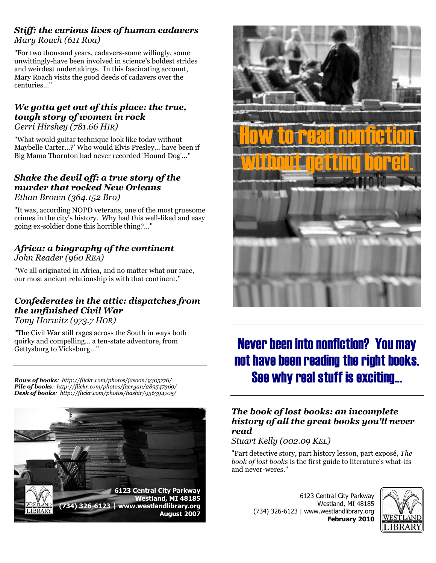### *Stiff: the curious lives of human cadavers Mary Roach (611 Roa)*

"For two thousand years, cadavers-some willingly, some unwittingly-have been involved in science's boldest strides and weirdest undertakings. In this fascinating account, Mary Roach visits the good deeds of cadavers over the centuries…"

#### *We gotta get out of this place: the true, tough story of women in rock Gerri Hirshey (781.66 HIR)*

"What would guitar technique look like today without Maybelle Carter…?' Who would Elvis Presley… have been if Big Mama Thornton had never recorded 'Hound Dog'…"

#### *Shake the devil off: a true story of the murder that rocked New Orleans Ethan Brown (364.152 Bro)*

"It was, according NOPD veterans, one of the most gruesome crimes in the city's history. Why had this well-liked and easy

### *Africa: a biography of the continent John Reader (960 REA)*

going ex-soldier done this horrible thing?…"

"We all originated in Africa, and no matter what our race, our most ancient relationship is with that continent."

# *Confederates in the attic: dispatches from the unfinished Civil War*

*Tony Horwitz (973.7 HOR)*

"The Civil War still rages across the South in ways both quirky and compelling… a ten-state adventure, from Gettysburg to Vicksburg…"

*Rows of books: http://flickr.com/photos/jasoon/9305776/ Pile of books: http://flickr.com/photos/faeryan/289547369/ Desk of books: http://flickr.com/photos/hashir/936394705/*





# Never been into nonfiction? You may not have been reading the right books. See why real stuff is exciting…

### *The book of lost books: an incomplete history of all the great books you'll never read*

#### *Stuart Kelly (002.09 KEL)*

"Part detective story, part history lesson, part exposé, *The book of lost books* is the first guide to literature's what-ifs and never-weres."

> 6123 Central City Parkway Westland, MI 48185 (734) 326-6123 | www.westlandlibrary.org **February 2010**